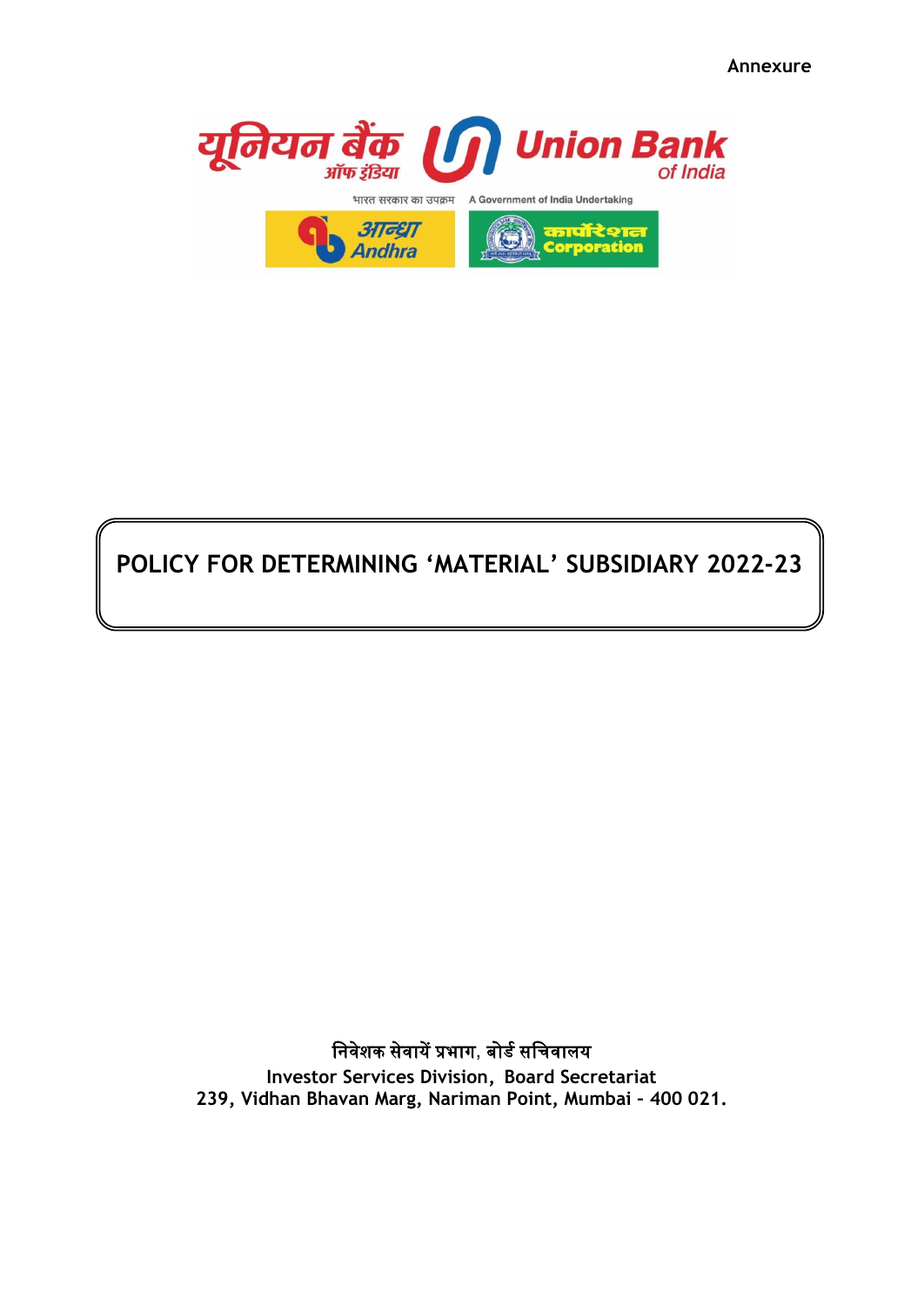**Annexure**



# **POLICY FOR DETERMINING 'MATERIAL' SUBSIDIARY 2022-23**

निवेशक सेवायें प्रभाग, बोर्ड सनिवालय

**Investor Services Division, Board Secretariat 239, Vidhan Bhavan Marg, Nariman Point, Mumbai – 400 021.**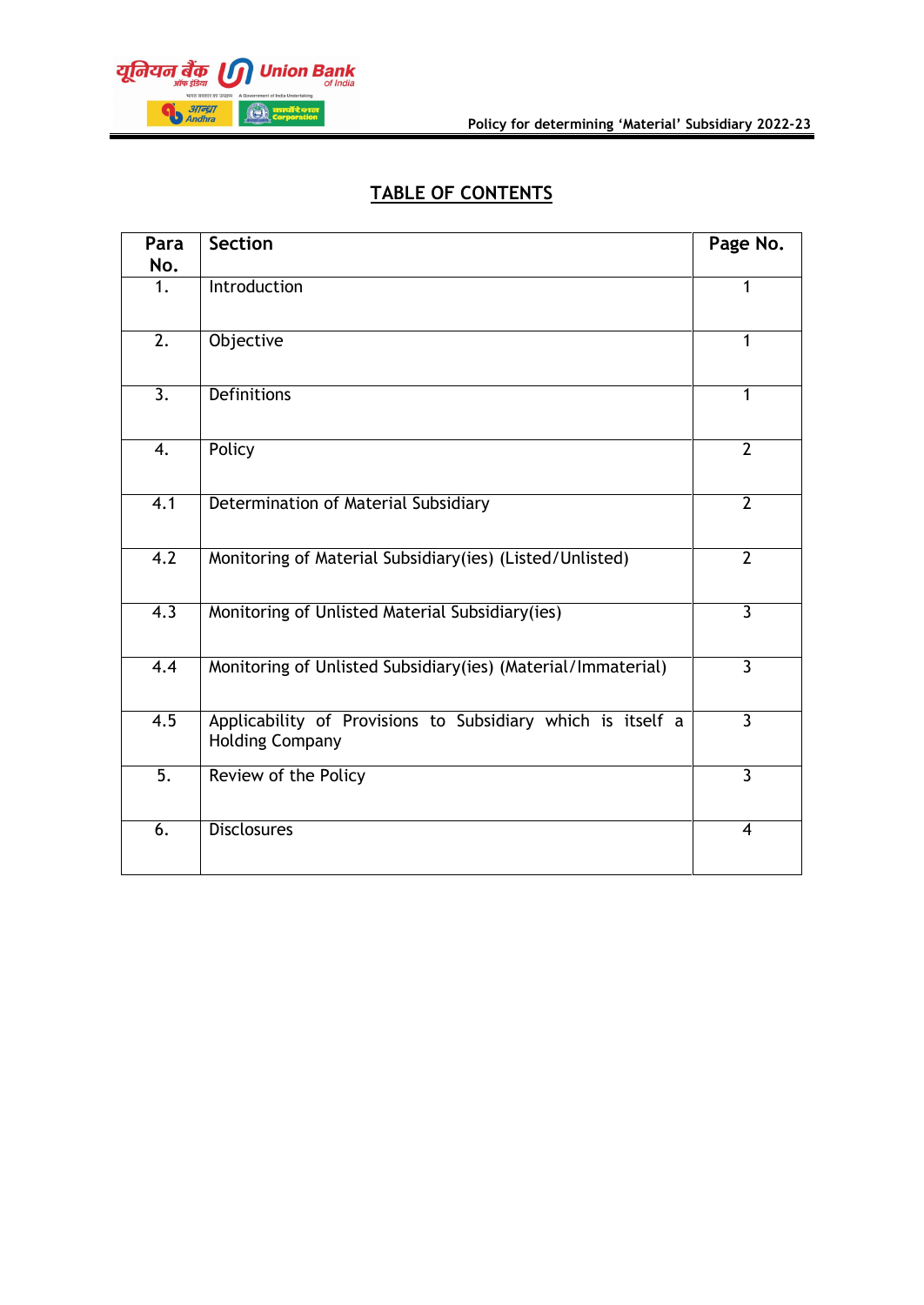

# **TABLE OF CONTENTS**

| Para<br>No.      | <b>Section</b>                                                                        | Page No.                |
|------------------|---------------------------------------------------------------------------------------|-------------------------|
| 1.               | Introduction                                                                          | 1                       |
| $\overline{2}$ . | Objective                                                                             | 1                       |
| $\overline{3}$ . | <b>Definitions</b>                                                                    | 1                       |
| $\overline{4}$ . | Policy                                                                                | $\overline{2}$          |
| $\overline{4.1}$ | Determination of Material Subsidiary                                                  | $\overline{2}$          |
| 4.2              | Monitoring of Material Subsidiary(ies) (Listed/Unlisted)                              | $\overline{2}$          |
| $\overline{4.3}$ | Monitoring of Unlisted Material Subsidiary(ies)                                       | $\overline{3}$          |
| 4.4              | Monitoring of Unlisted Subsidiary(ies) (Material/Immaterial)                          | $\overline{3}$          |
| 4.5              | Applicability of Provisions to Subsidiary which is itself a<br><b>Holding Company</b> | $\overline{3}$          |
| $\overline{5}$ . | Review of the Policy                                                                  | $\overline{3}$          |
| 6.               | <b>Disclosures</b>                                                                    | $\overline{\mathbf{4}}$ |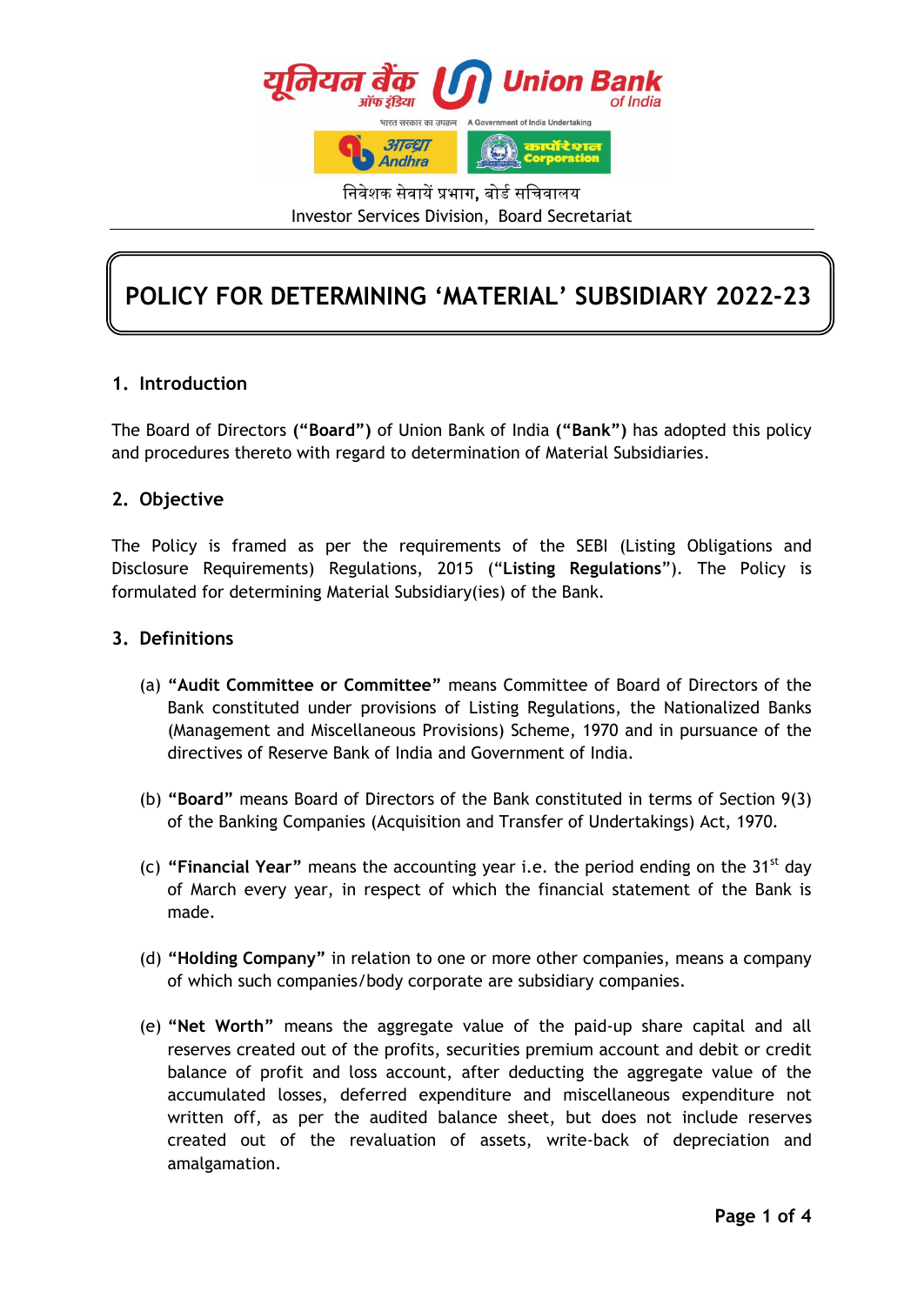

निवेशक सेवायें प्रभाग**,** बोर्ड सनिवालय Investor Services Division, Board Secretariat

# **POLICY FOR DETERMINING 'MATERIAL' SUBSIDIARY 2022-23**

# **1. Introduction**

The Board of Directors **("Board")** of Union Bank of India **("Bank")** has adopted this policy and procedures thereto with regard to determination of Material Subsidiaries.

## **2. Objective**

The Policy is framed as per the requirements of the SEBI (Listing Obligations and Disclosure Requirements) Regulations, 2015 ("**Listing Regulations**"). The Policy is formulated for determining Material Subsidiary(ies) of the Bank.

## **3. Definitions**

- (a) **"Audit Committee or Committee"** means Committee of Board of Directors of the Bank constituted under provisions of Listing Regulations, the Nationalized Banks (Management and Miscellaneous Provisions) Scheme, 1970 and in pursuance of the directives of Reserve Bank of India and Government of India.
- (b) **"Board"** means Board of Directors of the Bank constituted in terms of Section 9(3) of the Banking Companies (Acquisition and Transfer of Undertakings) Act, 1970.
- (c) **"Financial Year"** means the accounting year i.e. the period ending on the 31st day of March every year, in respect of which the financial statement of the Bank is made.
- (d) **"Holding Company"** in relation to one or more other companies, means a company of which such companies/body corporate are subsidiary companies.
- (e) **"Net Worth"** means the aggregate value of the paid-up share capital and all reserves created out of the profits, securities premium account and debit or credit balance of profit and loss account, after deducting the aggregate value of the accumulated losses, deferred expenditure and miscellaneous expenditure not written off, as per the audited balance sheet, but does not include reserves created out of the revaluation of assets, write-back of depreciation and amalgamation.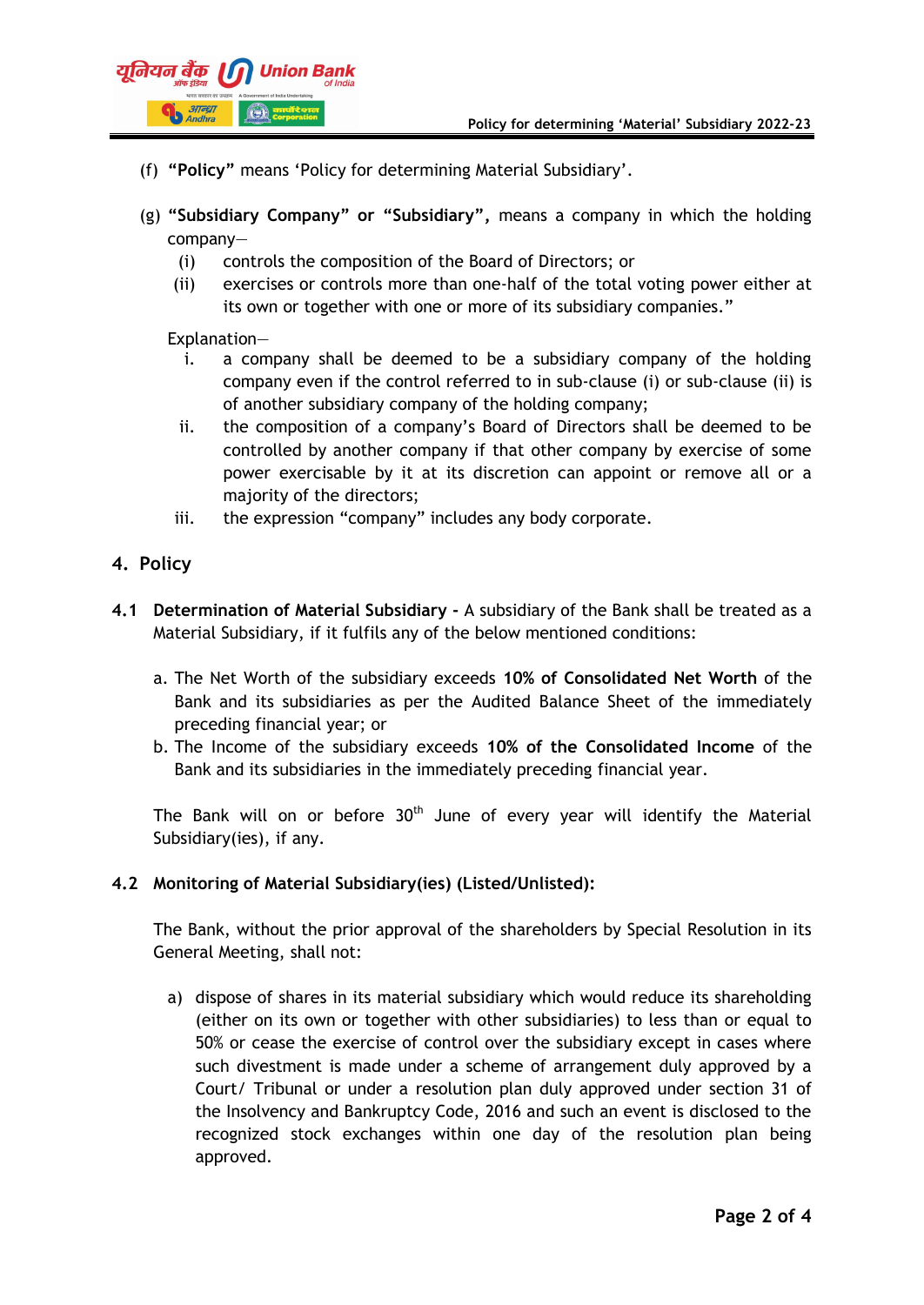

- (f) **"Policy"** means 'Policy for determining Material Subsidiary'.
- (g) **"Subsidiary Company" or "Subsidiary",** means a company in which the holding company—
	- (i) controls the composition of the Board of Directors; or
	- (ii) exercises or controls more than one-half of the total voting power either at its own or together with one or more of its subsidiary companies."

#### Explanation—

- i. a company shall be deemed to be a subsidiary company of the holding company even if the control referred to in sub-clause (i) or sub-clause (ii) is of another subsidiary company of the holding company;
- ii. the composition of a company's Board of Directors shall be deemed to be controlled by another company if that other company by exercise of some power exercisable by it at its discretion can appoint or remove all or a majority of the directors;
- iii. the expression "company" includes any body corporate.
- **4. Policy**
- **4.1 Determination of Material Subsidiary -** A subsidiary of the Bank shall be treated as a Material Subsidiary, if it fulfils any of the below mentioned conditions:
	- a. The Net Worth of the subsidiary exceeds **10% of Consolidated Net Worth** of the Bank and its subsidiaries as per the Audited Balance Sheet of the immediately preceding financial year; or
	- b. The Income of the subsidiary exceeds **10% of the Consolidated Income** of the Bank and its subsidiaries in the immediately preceding financial year.

The Bank will on or before  $30<sup>th</sup>$  June of every year will identify the Material Subsidiary(ies), if any.

## **4.2 Monitoring of Material Subsidiary(ies) (Listed/Unlisted):**

The Bank, without the prior approval of the shareholders by Special Resolution in its General Meeting, shall not:

a) dispose of shares in its material subsidiary which would reduce its shareholding (either on its own or together with other subsidiaries) to less than or equal to 50% or cease the exercise of control over the subsidiary except in cases where such divestment is made under a scheme of arrangement duly approved by a Court/ Tribunal or under a resolution plan duly approved under section 31 of the Insolvency and Bankruptcy Code, 2016 and such an event is disclosed to the recognized stock exchanges within one day of the resolution plan being approved.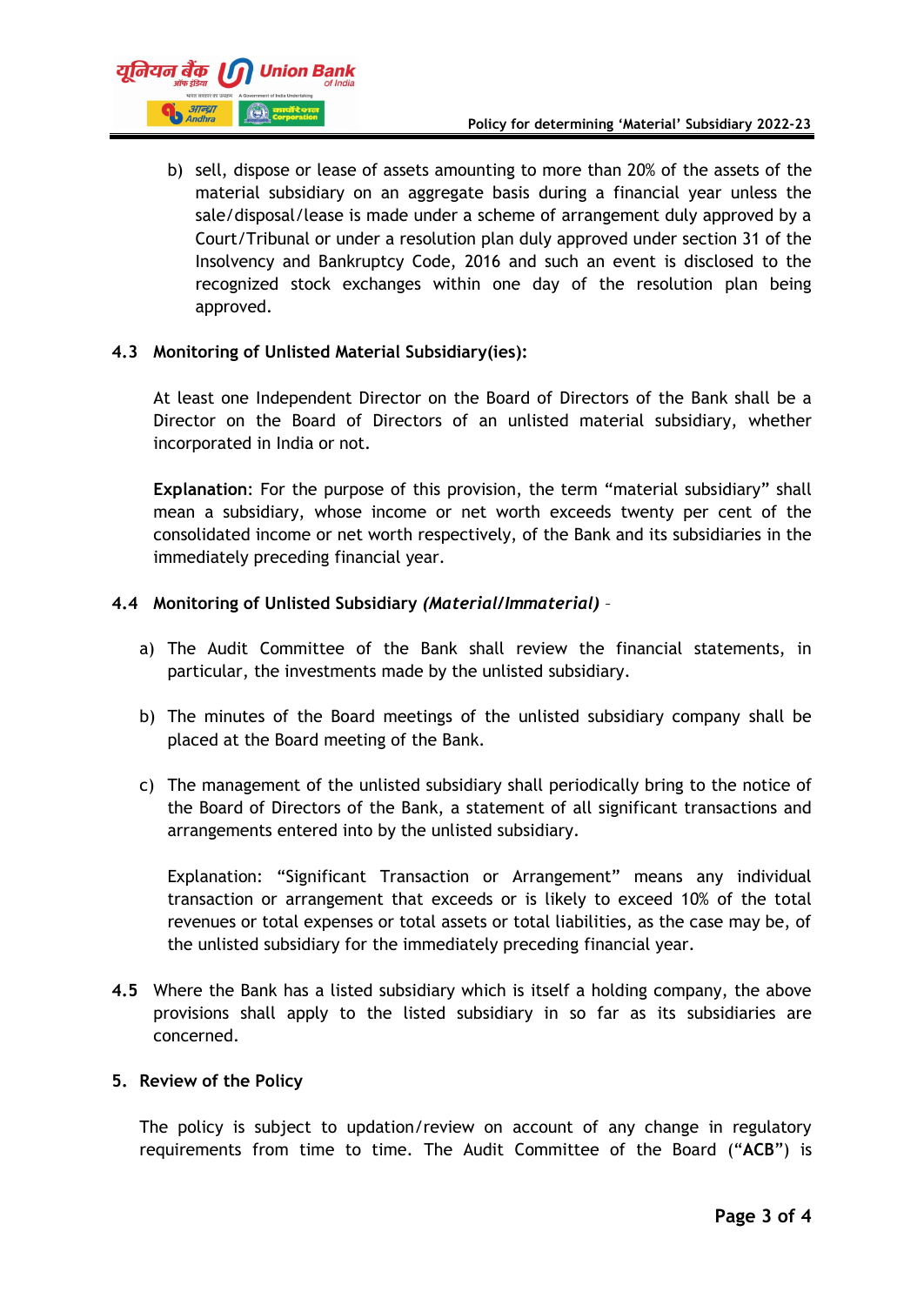

b) sell, dispose or lease of assets amounting to more than 20% of the assets of the material subsidiary on an aggregate basis during a financial year unless the sale/disposal/lease is made under a scheme of arrangement duly approved by a Court/Tribunal or under a resolution plan duly approved under section 31 of the Insolvency and Bankruptcy Code, 2016 and such an event is disclosed to the recognized stock exchanges within one day of the resolution plan being approved.

#### **4.3 Monitoring of Unlisted Material Subsidiary(ies):**

At least one Independent Director on the Board of Directors of the Bank shall be a Director on the Board of Directors of an unlisted material subsidiary, whether incorporated in India or not.

**Explanation**: For the purpose of this provision, the term "material subsidiary" shall mean a subsidiary, whose income or net worth exceeds twenty per cent of the consolidated income or net worth respectively, of the Bank and its subsidiaries in the immediately preceding financial year.

#### **4.4 Monitoring of Unlisted Subsidiary** *(Material/Immaterial)* –

- a) The Audit Committee of the Bank shall review the financial statements, in particular, the investments made by the unlisted subsidiary.
- b) The minutes of the Board meetings of the unlisted subsidiary company shall be placed at the Board meeting of the Bank.
- c) The management of the unlisted subsidiary shall periodically bring to the notice of the Board of Directors of the Bank, a statement of all significant transactions and arrangements entered into by the unlisted subsidiary.

Explanation: "Significant Transaction or Arrangement" means any individual transaction or arrangement that exceeds or is likely to exceed 10% of the total revenues or total expenses or total assets or total liabilities, as the case may be, of the unlisted subsidiary for the immediately preceding financial year.

**4.5** Where the Bank has a listed subsidiary which is itself a holding company, the above provisions shall apply to the listed subsidiary in so far as its subsidiaries are concerned.

#### **5. Review of the Policy**

The policy is subject to updation/review on account of any change in regulatory requirements from time to time. The Audit Committee of the Board ("**ACB**") is